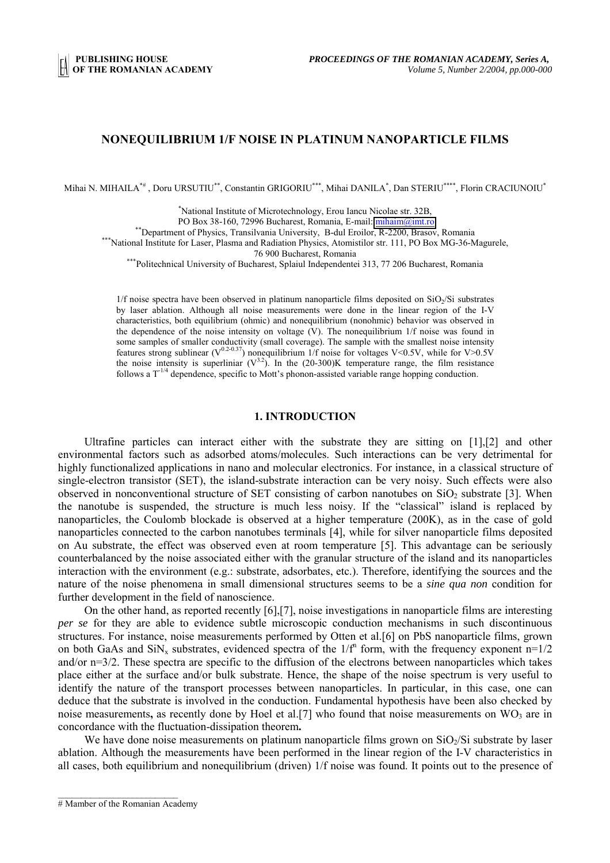## **NONEQUILIBRIUM 1/F NOISE IN PLATINUM NANOPARTICLE FILMS**

Mihai N. MIHAILA\*# , Doru URSUTIU\*\*, Constantin GRIGORIU\*\*\*, Mihai DANILA\* , Dan STERIU\*\*\*\*, Florin CRACIUNOIU\*

\* National Institute of Microtechnology, Erou Iancu Nicolae str. 32B,

PO Box 38-160, 72996 Bucharest, Romania, E-mail: [mihaim@imt.ro](mailto:mihaim@imt.ro)<br>
\*\*Department of Physics, Transilvania University, B-dul Eroilor, R-2200, Brasov, Romania<br>
\*\*\*National Institute for Laser. Plasma and Radiation Physics. Atomi

76 900 Bucharest, Romania \*\*\*Politechnical University of Bucharest, Splaiul Independentei 313, 77 206 Bucharest, Romania

 $1/f$  noise spectra have been observed in platinum nanoparticle films deposited on  $SiO<sub>2</sub>/Si$  substrates by laser ablation. Although all noise measurements were done in the linear region of the I-V characteristics, both equilibrium (ohmic) and nonequilibrium (nonohmic) behavior was observed in the dependence of the noise intensity on voltage  $(V)$ . The nonequilibrium 1/f noise was found in some samples of smaller conductivity (small coverage). The sample with the smallest noise intensity features strong sublinear ( $V^{0.2-0.37}$ ) nonequilibrium 1/f noise for voltages V<0.5V, while for V>0.5V the noise intensity is superliniar  $(V^{3.2})$ . In the (20-300)K temperature range, the film resistance follows a T<sup>-1/4</sup> dependence, specific to Mott's phonon-assisted variable range hopping conduction.

#### **1. INTRODUCTION**

Ultrafine particles can interact either with the substrate they are sitting on [1],[2] and other environmental factors such as adsorbed atoms/molecules. Such interactions can be very detrimental for highly functionalized applications in nano and molecular electronics. For instance, in a classical structure of single-electron transistor (SET), the island-substrate interaction can be very noisy. Such effects were also observed in nonconventional structure of SET consisting of carbon nanotubes on  $SiO<sub>2</sub>$  substrate [3]. When the nanotube is suspended, the structure is much less noisy. If the "classical" island is replaced by nanoparticles, the Coulomb blockade is observed at a higher temperature (200K), as in the case of gold nanoparticles connected to the carbon nanotubes terminals [4], while for silver nanoparticle films deposited on Au substrate, the effect was observed even at room temperature [5]. This advantage can be seriously counterbalanced by the noise associated either with the granular structure of the island and its nanoparticles interaction with the environment (e.g.: substrate, adsorbates, etc.). Therefore, identifying the sources and the nature of the noise phenomena in small dimensional structures seems to be a *sine qua non* condition for further development in the field of nanoscience.

On the other hand, as reported recently [6],[7], noise investigations in nanoparticle films are interesting *per se* for they are able to evidence subtle microscopic conduction mechanisms in such discontinuous structures. For instance, noise measurements performed by Otten et al.[6] on PbS nanoparticle films, grown on both GaAs and SiN<sub>x</sub> substrates, evidenced spectra of the  $1/f^n$  form, with the frequency exponent  $n=1/2$ and/or n=3/2. These spectra are specific to the diffusion of the electrons between nanoparticles which takes place either at the surface and/or bulk substrate. Hence, the shape of the noise spectrum is very useful to identify the nature of the transport processes between nanoparticles. In particular, in this case, one can deduce that the substrate is involved in the conduction. Fundamental hypothesis have been also checked by noise measurements, as recently done by Hoel et al.[7] who found that noise measurements on  $WO_3$  are in concordance with the fluctuation-dissipation theorem**.**

We have done noise measurements on platinum nanoparticle films grown on  $SiO<sub>2</sub>/Si$  substrate by laser ablation. Although the measurements have been performed in the linear region of the I-V characteristics in all cases, both equilibrium and nonequilibrium (driven) 1/f noise was found. It points out to the presence of

 $\mathcal{L}_\text{max}$ 

<sup>#</sup> Mamber of the Romanian Academy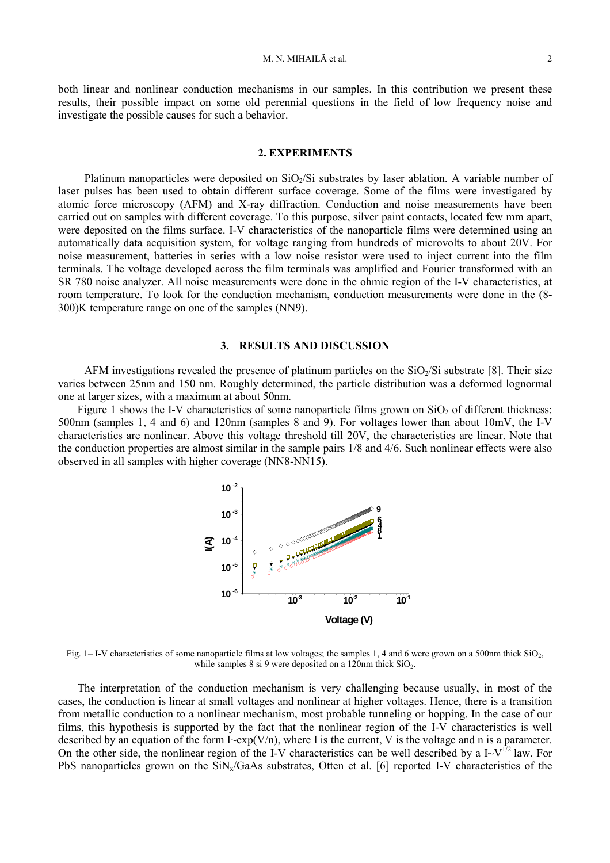both linear and nonlinear conduction mechanisms in our samples. In this contribution we present these results, their possible impact on some old perennial questions in the field of low frequency noise and investigate the possible causes for such a behavior.

## **2. EXPERIMENTS**

Platinum nanoparticles were deposited on SiO<sub>2</sub>/Si substrates by laser ablation. A variable number of laser pulses has been used to obtain different surface coverage. Some of the films were investigated by atomic force microscopy (AFM) and X-ray diffraction. Conduction and noise measurements have been carried out on samples with different coverage. To this purpose, silver paint contacts, located few mm apart, were deposited on the films surface. I-V characteristics of the nanoparticle films were determined using an automatically data acquisition system, for voltage ranging from hundreds of microvolts to about 20V. For noise measurement, batteries in series with a low noise resistor were used to inject current into the film terminals. The voltage developed across the film terminals was amplified and Fourier transformed with an SR 780 noise analyzer. All noise measurements were done in the ohmic region of the I-V characteristics, at room temperature. To look for the conduction mechanism, conduction measurements were done in the (8- 300)K temperature range on one of the samples (NN9).

### **3. RESULTS AND DISCUSSION**

AFM investigations revealed the presence of platinum particles on the  $SiO<sub>2</sub>/Si$  substrate [8]. Their size varies between 25nm and 150 nm. Roughly determined, the particle distribution was a deformed lognormal one at larger sizes, with a maximum at about 50nm.

Figure 1 shows the I-V characteristics of some nanoparticle films grown on  $SiO<sub>2</sub>$  of different thickness: 500nm (samples 1, 4 and 6) and 120nm (samples 8 and 9). For voltages lower than about 10mV, the I-V characteristics are nonlinear. Above this voltage threshold till 20V, the characteristics are linear. Note that the conduction properties are almost similar in the sample pairs 1/8 and 4/6. Such nonlinear effects were also observed in all samples with higher coverage (NN8-NN15).



Fig. 1– I-V characteristics of some nanoparticle films at low voltages; the samples 1, 4 and 6 were grown on a 500nm thick  $SiO<sub>2</sub>$ , while samples 8 si 9 were deposited on a 120nm thick  $SiO<sub>2</sub>$ .

The interpretation of the conduction mechanism is very challenging because usually, in most of the cases, the conduction is linear at small voltages and nonlinear at higher voltages. Hence, there is a transition from metallic conduction to a nonlinear mechanism, most probable tunneling or hopping. In the case of our films, this hypothesis is supported by the fact that the nonlinear region of the I-V characteristics is well described by an equation of the form I~exp(V/n), where I is the current, V is the voltage and n is a parameter. On the other side, the nonlinear region of the I-V characteristics can be well described by a  $I-V^{1/2}$  law. For PbS nanoparticles grown on the  $\frac{SiN_x}{GaAs}$  substrates, Otten et al. [6] reported I-V characteristics of the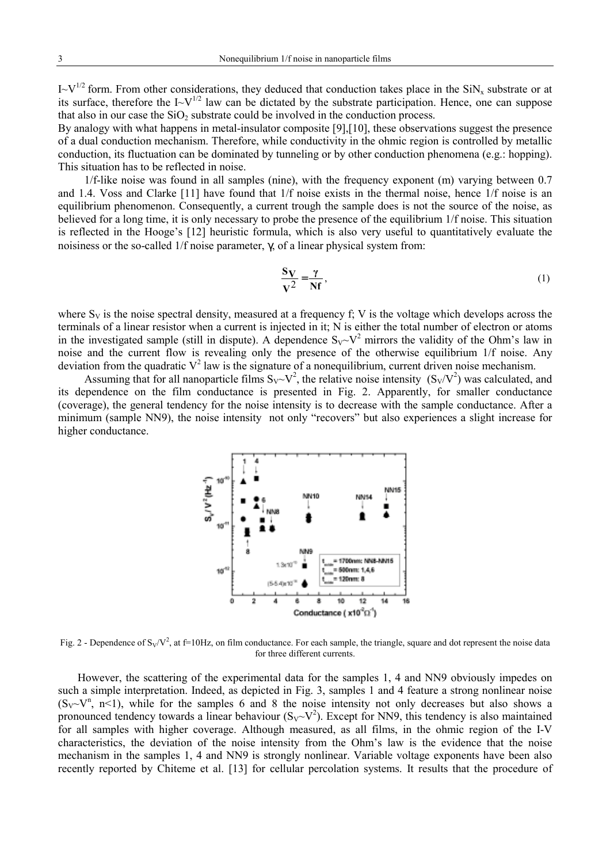$I-V^{1/2}$  form. From other considerations, they deduced that conduction takes place in the SiN<sub>x</sub> substrate or at its surface, therefore the  $I-V^{1/2}$  law can be dictated by the substrate participation. Hence, one can suppose that also in our case the  $SiO<sub>2</sub>$  substrate could be involved in the conduction process.

By analogy with what happens in metal-insulator composite [9],[10], these observations suggest the presence of a dual conduction mechanism. Therefore, while conductivity in the ohmic region is controlled by metallic conduction, its fluctuation can be dominated by tunneling or by other conduction phenomena (e.g.: hopping). This situation has to be reflected in noise.

1/f-like noise was found in all samples (nine), with the frequency exponent (m) varying between 0.7 and 1.4. Voss and Clarke [11] have found that 1/f noise exists in the thermal noise, hence 1/f noise is an equilibrium phenomenon. Consequently, a current trough the sample does is not the source of the noise, as believed for a long time, it is only necessary to probe the presence of the equilibrium 1/f noise. This situation is reflected in the Hooge's [12] heuristic formula, which is also very useful to quantitatively evaluate the noisiness or the so-called 1/f noise parameter, γ, of a linear physical system from:

$$
\frac{S_V}{V^2} = \frac{\gamma}{Nf},\tag{1}
$$

where  $S_V$  is the noise spectral density, measured at a frequency f; V is the voltage which develops across the terminals of a linear resistor when a current is injected in it; N is either the total number of electron or atoms in the investigated sample (still in dispute). A dependence  $S_V \sim V^2$  mirrors the validity of the Ohm's law in noise and the current flow is revealing only the presence of the otherwise equilibrium 1/f noise. Any deviation from the quadratic  $V^2$  law is the signature of a nonequilibrium, current driven noise mechanism.

Assuming that for all nanoparticle films  $S_V \sim V^2$ , the relative noise intensity  $(S_V/V^2)$  was calculated, and its dependence on the film conductance is presented in Fig. 2. Apparently, for smaller conductance (coverage), the general tendency for the noise intensity is to decrease with the sample conductance. After a minimum (sample NN9), the noise intensity not only "recovers" but also experiences a slight increase for higher conductance.



Fig. 2 - Dependence of  $S_V/V^2$ , at f=10Hz, on film conductance. For each sample, the triangle, square and dot represent the noise data for three different currents.

However, the scattering of the experimental data for the samples 1, 4 and NN9 obviously impedes on such a simple interpretation. Indeed, as depicted in Fig. 3, samples 1 and 4 feature a strong nonlinear noise  $(S_V \sim V^n, n \le 1)$ , while for the samples 6 and 8 the noise intensity not only decreases but also shows a pronounced tendency towards a linear behaviour  $(S_V \sim V^2)$ . Except for NN9, this tendency is also maintained for all samples with higher coverage. Although measured, as all films, in the ohmic region of the I-V characteristics, the deviation of the noise intensity from the Ohm's law is the evidence that the noise mechanism in the samples 1, 4 and NN9 is strongly nonlinear. Variable voltage exponents have been also recently reported by Chiteme et al. [13] for cellular percolation systems. It results that the procedure of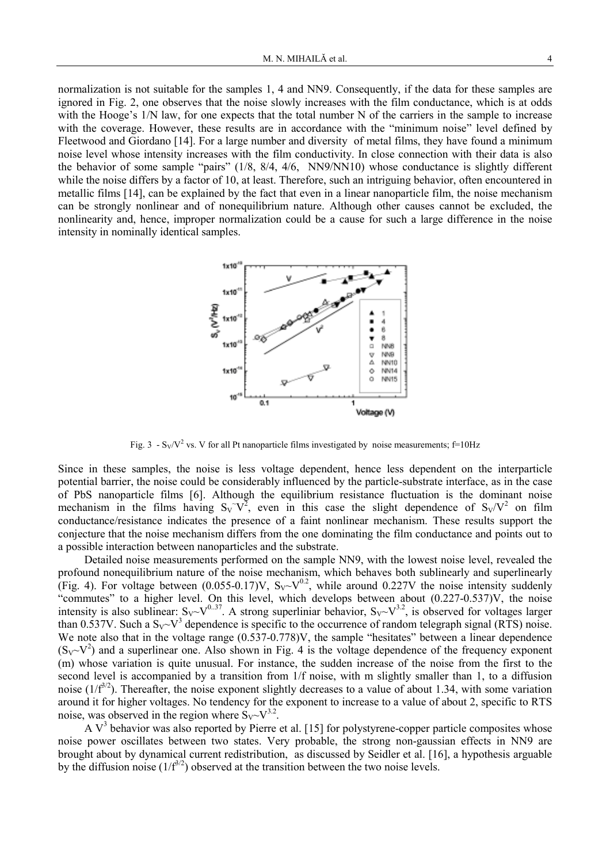normalization is not suitable for the samples 1, 4 and NN9. Consequently, if the data for these samples are ignored in Fig. 2, one observes that the noise slowly increases with the film conductance, which is at odds with the Hooge's 1/N law, for one expects that the total number N of the carriers in the sample to increase with the coverage. However, these results are in accordance with the "minimum noise" level defined by Fleetwood and Giordano [14]. For a large number and diversity of metal films, they have found a minimum noise level whose intensity increases with the film conductivity. In close connection with their data is also the behavior of some sample "pairs" (1/8, 8/4, 4/6, NN9/NN10) whose conductance is slightly different while the noise differs by a factor of 10, at least. Therefore, such an intriguing behavior, often encountered in metallic films [14], can be explained by the fact that even in a linear nanoparticle film, the noise mechanism can be strongly nonlinear and of nonequilibrium nature. Although other causes cannot be excluded, the nonlinearity and, hence, improper normalization could be a cause for such a large difference in the noise intensity in nominally identical samples.



Fig. 3 - S<sub>V</sub>/V<sup>2</sup> vs. V for all Pt nanoparticle films investigated by noise measurements;  $f=10Hz$ 

Since in these samples, the noise is less voltage dependent, hence less dependent on the interparticle potential barrier, the noise could be considerably influenced by the particle-substrate interface, as in the case of PbS nanoparticle films [6]. Although the equilibrium resistance fluctuation is the dominant noise mechanism in the films having  $S_V V^2$ , even in this case the slight dependence of  $S_V/V^2$  on film conductance/resistance indicates the presence of a faint nonlinear mechanism. These results support the conjecture that the noise mechanism differs from the one dominating the film conductance and points out to a possible interaction between nanoparticles and the substrate.

Detailed noise measurements performed on the sample NN9, with the lowest noise level, revealed the profound nonequilibrium nature of the noise mechanism, which behaves both sublinearly and superlinearly (Fig. 4). For voltage between  $(0.055-0.17)V$ ,  $S_V \sim V^{0.2}$ , while around 0.227V the noise intensity suddenly "commutes" to a higher level. On this level, which develops between about (0.227-0.537)V, the noise intensity is also sublinear:  $S_V \sim V^{0.37}$ . A strong superliniar behavior,  $S_V \sim V^{3.2}$ , is observed for voltages larger than 0.537V. Such a  $S_V \sim V^3$  dependence is specific to the occurrence of random telegraph signal (RTS) noise. We note also that in the voltage range  $(0.537-0.778)$ V, the sample "hesitates" between a linear dependence  $(S_V-V^2)$  and a superlinear one. Also shown in Fig. 4 is the voltage dependence of the frequency exponent (m) whose variation is quite unusual. For instance, the sudden increase of the noise from the first to the second level is accompanied by a transition from 1/f noise, with m slightly smaller than 1, to a diffusion noise  $(1/f^{3/2})$ . Thereafter, the noise exponent slightly decreases to a value of about 1.34, with some variation around it for higher voltages. No tendency for the exponent to increase to a value of about 2, specific to RTS noise, was observed in the region where  $S_V \sim V^{3.2}$ .

A  $V<sup>3</sup>$  behavior was also reported by Pierre et al. [15] for polystyrene-copper particle composites whose noise power oscillates between two states. Very probable, the strong non-gaussian effects in NN9 are brought about by dynamical current redistribution, as discussed by Seidler et al. [16], a hypothesis arguable by the diffusion noise  $(1/f<sup>3/2</sup>)$  observed at the transition between the two noise levels.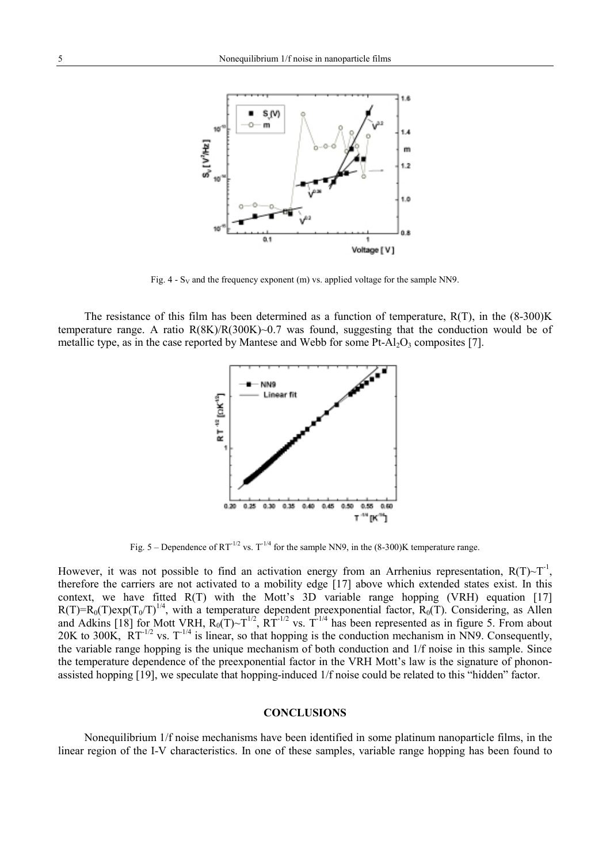

Fig.  $4 - S_V$  and the frequency exponent (m) vs. applied voltage for the sample NN9.

The resistance of this film has been determined as a function of temperature,  $R(T)$ , in the  $(8-300)K$ temperature range. A ratio R(8K)/R(300K)~0.7 was found, suggesting that the conduction would be of metallic type, as in the case reported by Mantese and Webb for some Pt-Al<sub>2</sub>O<sub>3</sub> composites [7].



Fig. 5 – Dependence of  $RT^{-1/2}$  vs.  $T^{-1/4}$  for the sample NN9, in the (8-300)K temperature range.

However, it was not possible to find an activation energy from an Arrhenius representation,  $R(T) \sim T^{-1}$ , therefore the carriers are not activated to a mobility edge [17] above which extended states exist. In this context, we have fitted R(T) with the Mott's 3D variable range hopping (VRH) equation [17]  $R(T)=R_0(T)exp(T_0/T)^{1/4}$ , with a temperature dependent preexponential factor,  $R_0(T)$ . Considering, as Allen and Adkins [18] for Mott VRH,  $R_0(T) \sim T^{1/2}$ ,  $R\hat{T}^{-1/2}$  vs.  $T^{-1/4}$  has been represented as in figure 5. From about 20K to 300K,  $RT^{-1/2}$  vs.  $T^{-1/4}$  is linear, so that hopping is the conduction mechanism in NN9. Consequently, the variable range hopping is the unique mechanism of both conduction and 1/f noise in this sample. Since the temperature dependence of the preexponential factor in the VRH Mott's law is the signature of phononassisted hopping [19], we speculate that hopping-induced 1/f noise could be related to this "hidden" factor.

### **CONCLUSIONS**

Nonequilibrium 1/f noise mechanisms have been identified in some platinum nanoparticle films, in the linear region of the I-V characteristics. In one of these samples, variable range hopping has been found to